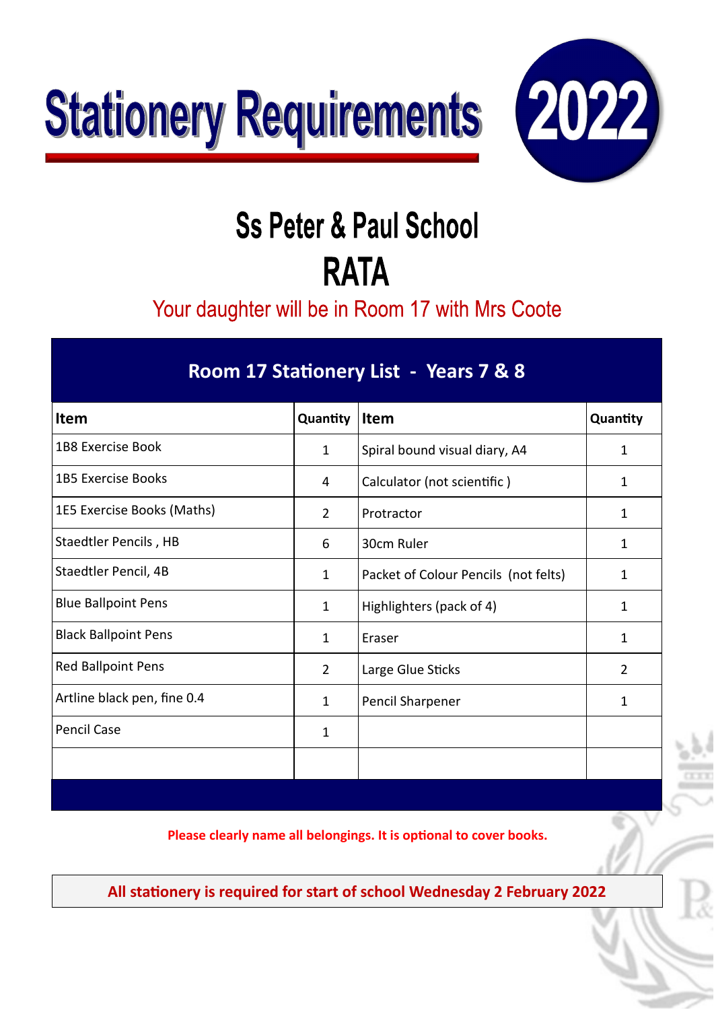



## **Ss Peter & Paul School RATA**

Your daughter will be in Room 17 with Mrs Coote

| Room 17 Stationery List - Years 7 & 8 |                |                                      |              |  |  |
|---------------------------------------|----------------|--------------------------------------|--------------|--|--|
| <b>Item</b>                           | Quantity       | <b>Item</b>                          | Quantity     |  |  |
| <b>1B8 Exercise Book</b>              | $\mathbf 1$    | Spiral bound visual diary, A4        | $\mathbf{1}$ |  |  |
| <b>1B5 Exercise Books</b>             | 4              | Calculator (not scientific)          | 1            |  |  |
| 1E5 Exercise Books (Maths)            | $\overline{2}$ | Protractor                           | 1            |  |  |
| Staedtler Pencils, HB                 | 6              | 30cm Ruler                           | 1            |  |  |
| Staedtler Pencil, 4B                  | $\mathbf{1}$   | Packet of Colour Pencils (not felts) | 1            |  |  |
| <b>Blue Ballpoint Pens</b>            | $\mathbf 1$    | Highlighters (pack of 4)             | $\mathbf{1}$ |  |  |
| <b>Black Ballpoint Pens</b>           | 1              | Eraser                               | 1            |  |  |
| <b>Red Ballpoint Pens</b>             | $\overline{2}$ | Large Glue Sticks                    | 2            |  |  |
| Artline black pen, fine 0.4           | $\mathbf{1}$   | Pencil Sharpener                     | 1            |  |  |
| <b>Pencil Case</b>                    | 1              |                                      |              |  |  |
|                                       |                |                                      |              |  |  |
|                                       |                |                                      |              |  |  |

**Please clearly name all belongings. It is optonal to cover books.**

**All statonery is required for start of school Wednesday 2 February 2022**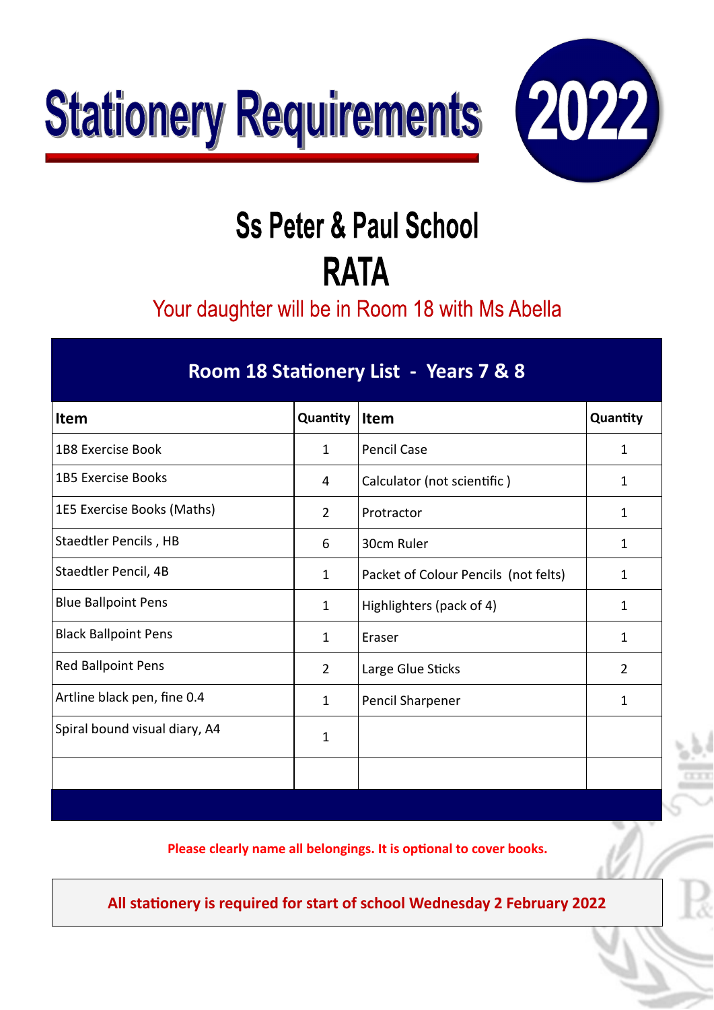



## **Ss Peter & Paul School RATA**

Your daughter will be in Room 18 with Ms Abella

| Room 18 Stationery List - Years 7 & 8 |                |                                      |                |  |  |
|---------------------------------------|----------------|--------------------------------------|----------------|--|--|
| <b>Item</b>                           | Quantity       | Item                                 | Quantity       |  |  |
| <b>1B8 Exercise Book</b>              | $\mathbf{1}$   | <b>Pencil Case</b>                   | $\mathbf{1}$   |  |  |
| <b>1B5 Exercise Books</b>             | 4              | Calculator (not scientific)          | 1              |  |  |
| 1E5 Exercise Books (Maths)            | $\overline{2}$ | Protractor                           | $\mathbf{1}$   |  |  |
| Staedtler Pencils, HB                 | 6              | 30cm Ruler                           | 1              |  |  |
| Staedtler Pencil, 4B                  | $\mathbf{1}$   | Packet of Colour Pencils (not felts) | 1              |  |  |
| <b>Blue Ballpoint Pens</b>            | $\mathbf{1}$   | Highlighters (pack of 4)             | 1              |  |  |
| <b>Black Ballpoint Pens</b>           | 1              | Eraser                               | 1              |  |  |
| <b>Red Ballpoint Pens</b>             | $\overline{2}$ | Large Glue Sticks                    | $\overline{2}$ |  |  |
| Artline black pen, fine 0.4           | $\mathbf{1}$   | Pencil Sharpener                     | 1              |  |  |
| Spiral bound visual diary, A4         | 1              |                                      |                |  |  |
|                                       |                |                                      |                |  |  |

**Please clearly name all belongings. It is optonal to cover books.**

**All statonery is required for start of school Wednesday 2 February 2022**